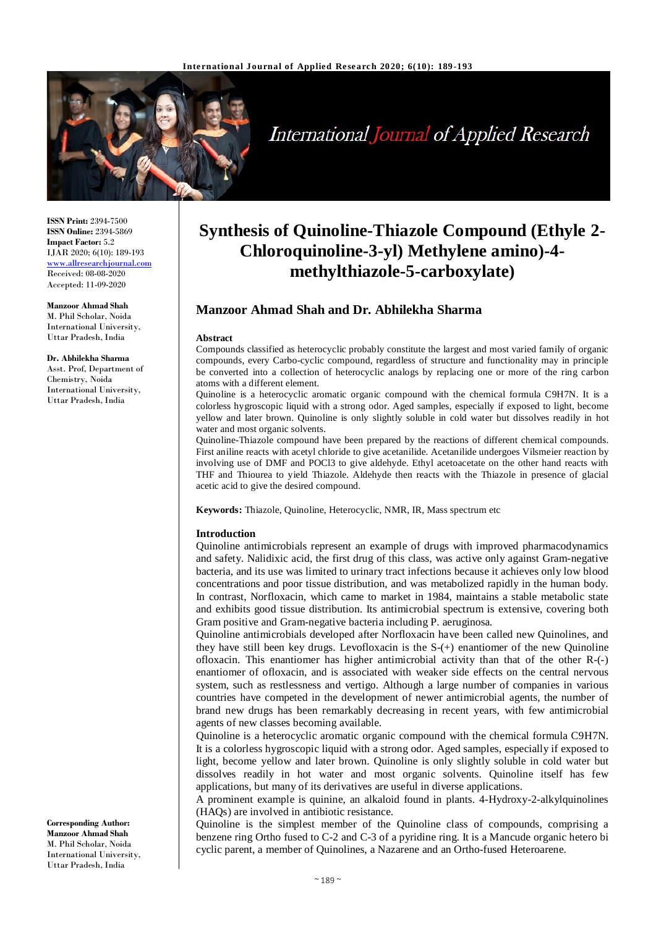

# **International Journal of Applied Research**

**ISSN Print:** 2394-7500 **ISSN Online:** 2394-5869 **Impact Factor:** 5.2 IJAR 2020; 6(10): 189-193 www.allresearchjournal.com Received: 08-08-2020 Accepted: 11-09-2020

**Manzoor Ahmad Shah** M. Phil Scholar, Noida International University, Uttar Pradesh, India

**Dr. Abhilekha Sharma** Asst. Prof, Department of Chemistry, Noida International University, Uttar Pradesh, India

## **Synthesis of Quinoline-Thiazole Compound (Ethyle 2- Chloroquinoline-3-yl) Methylene amino)-4 methylthiazole-5-carboxylate)**

### **Manzoor Ahmad Shah and Dr. Abhilekha Sharma**

#### **Abstract**

Compounds classified as heterocyclic probably constitute the largest and most varied family of organic compounds, every Carbo-cyclic compound, regardless of structure and functionality may in principle be converted into a collection of heterocyclic analogs by replacing one or more of the ring carbon atoms with a different element.

Quinoline is a heterocyclic aromatic organic compound with the chemical formula C9H7N. It is a colorless hygroscopic liquid with a strong odor. Aged samples, especially if exposed to light, become yellow and later brown. Quinoline is only slightly soluble in cold water but dissolves readily in hot water and most organic solvents.

Quinoline-Thiazole compound have been prepared by the reactions of different chemical compounds. First aniline reacts with acetyl chloride to give acetanilide. Acetanilide undergoes Vilsmeier reaction by involving use of DMF and POCl3 to give aldehyde. Ethyl acetoacetate on the other hand reacts with THF and Thiourea to yield Thiazole. Aldehyde then reacts with the Thiazole in presence of glacial acetic acid to give the desired compound.

**Keywords:** Thiazole, Quinoline, Heterocyclic, NMR, IR, Mass spectrum etc

#### **Introduction**

Quinoline antimicrobials represent an example of drugs with improved pharmacodynamics and safety. Nalidixic acid, the first drug of this class, was active only against Gram-negative bacteria, and its use was limited to urinary tract infections because it achieves only low blood concentrations and poor tissue distribution, and was metabolized rapidly in the human body. In contrast, Norfloxacin, which came to market in 1984, maintains a stable metabolic state and exhibits good tissue distribution. Its antimicrobial spectrum is extensive, covering both Gram positive and Gram-negative bacteria including P. aeruginosa*.* 

Quinoline antimicrobials developed after Norfloxacin have been called new Quinolines, and they have still been key drugs. Levofloxacin is the S-(+) enantiomer of the new Quinoline ofloxacin. This enantiomer has higher antimicrobial activity than that of the other R-(-) enantiomer of ofloxacin, and is associated with weaker side effects on the central nervous system, such as restlessness and vertigo. Although a large number of companies in various countries have competed in the development of newer antimicrobial agents, the number of brand new drugs has been remarkably decreasing in recent years, with few antimicrobial agents of new classes becoming available.

Quinoline is a heterocyclic aromatic organic compound with the chemical formula C9H7N. It is a colorless hygroscopic liquid with a strong odor. Aged samples, especially if exposed to light, become yellow and later brown. Quinoline is only slightly soluble in cold water but dissolves readily in hot water and most organic solvents. Quinoline itself has few applications, but many of its derivatives are useful in diverse applications.

A prominent example is quinine, an alkaloid found in plants. 4-Hydroxy-2-alkylquinolines (HAQs) are involved in antibiotic resistance.

Quinoline is the simplest member of the Quinoline class of compounds, comprising a benzene ring Ortho fused to C-2 and C-3 of a pyridine ring. It is a Mancude organic hetero bi cyclic parent, a member of Quinolines, a Nazarene and an Ortho-fused Heteroarene.

**Corresponding Author: Manzoor Ahmad Shah** M. Phil Scholar, Noida International University, Uttar Pradesh, India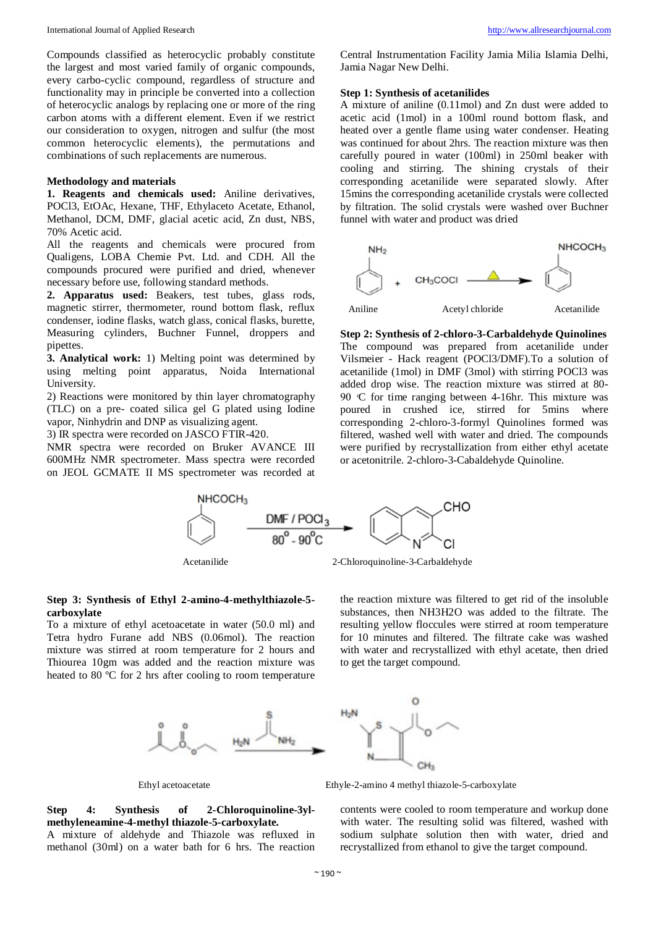Compounds classified as heterocyclic probably constitute the largest and most varied family of organic compounds, every carbo-cyclic compound, regardless of structure and functionality may in principle be converted into a collection of heterocyclic analogs by replacing one or more of the ring carbon atoms with a different element. Even if we restrict our consideration to oxygen, nitrogen and sulfur (the most common heterocyclic elements), the permutations and combinations of such replacements are numerous.

#### **Methodology and materials**

**1. Reagents and chemicals used:** Aniline derivatives, POCl3, EtOAc, Hexane, THF, Ethylaceto Acetate, Ethanol, Methanol, DCM, DMF, glacial acetic acid, Zn dust, NBS, 70% Acetic acid.

All the reagents and chemicals were procured from Qualigens, LOBA Chemie Pvt. Ltd. and CDH. All the compounds procured were purified and dried, whenever necessary before use, following standard methods.

**2. Apparatus used:** Beakers, test tubes, glass rods, magnetic stirrer, thermometer, round bottom flask, reflux condenser, iodine flasks, watch glass, conical flasks, burette, Measuring cylinders, Buchner Funnel, droppers and pipettes.

**3. Analytical work:** 1) Melting point was determined by using melting point apparatus, Noida International University.

2) Reactions were monitored by thin layer chromatography (TLC) on a pre- coated silica gel G plated using Iodine vapor, Ninhydrin and DNP as visualizing agent.

3) IR spectra were recorded on JASCO FTIR-420.

NMR spectra were recorded on Bruker AVANCE III 600MHz NMR spectrometer. Mass spectra were recorded on JEOL GCMATE II MS spectrometer was recorded at

Central Instrumentation Facility Jamia Milia Islamia Delhi, Jamia Nagar New Delhi.

#### **Step 1: Synthesis of acetanilides**

A mixture of aniline (0.11mol) and Zn dust were added to acetic acid (1mol) in a 100ml round bottom flask, and heated over a gentle flame using water condenser. Heating was continued for about 2hrs. The reaction mixture was then carefully poured in water (100ml) in 250ml beaker with cooling and stirring. The shining crystals of their corresponding acetanilide were separated slowly. After 15mins the corresponding acetanilide crystals were collected by filtration. The solid crystals were washed over Buchner funnel with water and product was dried



**Step 2: Synthesis of 2-chloro-3-Carbaldehyde Quinolines**  The compound was prepared from acetanilide under Vilsmeier - Hack reagent (POCl3/DMF).To a solution of acetanilide (1mol) in DMF (3mol) with stirring POCl3 was added drop wise. The reaction mixture was stirred at 80- 90  $\degree$  for time ranging between 4-16hr. This mixture was poured in crushed ice, stirred for 5mins where corresponding 2-chloro-3-formyl Quinolines formed was filtered, washed well with water and dried. The compounds were purified by recrystallization from either ethyl acetate or acetonitrile. 2-chloro-3-Cabaldehyde Quinoline.





#### **Step 3: Synthesis of Ethyl 2-amino-4-methylthiazole-5 carboxylate**

To a mixture of ethyl acetoacetate in water (50.0 ml) and Tetra hydro Furane add NBS (0.06mol). The reaction mixture was stirred at room temperature for 2 hours and Thiourea 10gm was added and the reaction mixture was heated to 80 ºC for 2 hrs after cooling to room temperature

the reaction mixture was filtered to get rid of the insoluble substances, then NH3H2O was added to the filtrate. The resulting yellow floccules were stirred at room temperature for 10 minutes and filtered. The filtrate cake was washed with water and recrystallized with ethyl acetate, then dried to get the target compound.



Ethyl acetoacetate Ethyle-2-amino 4 methyl thiazole-5-carboxylate

**Step 4: Synthesis of 2-Chloroquinoline-3ylmethyleneamine-4-methyl thiazole-5-carboxylate.** 

A mixture of aldehyde and Thiazole was refluxed in methanol (30ml) on a water bath for 6 hrs. The reaction

contents were cooled to room temperature and workup done with water. The resulting solid was filtered, washed with sodium sulphate solution then with water, dried and recrystallized from ethanol to give the target compound.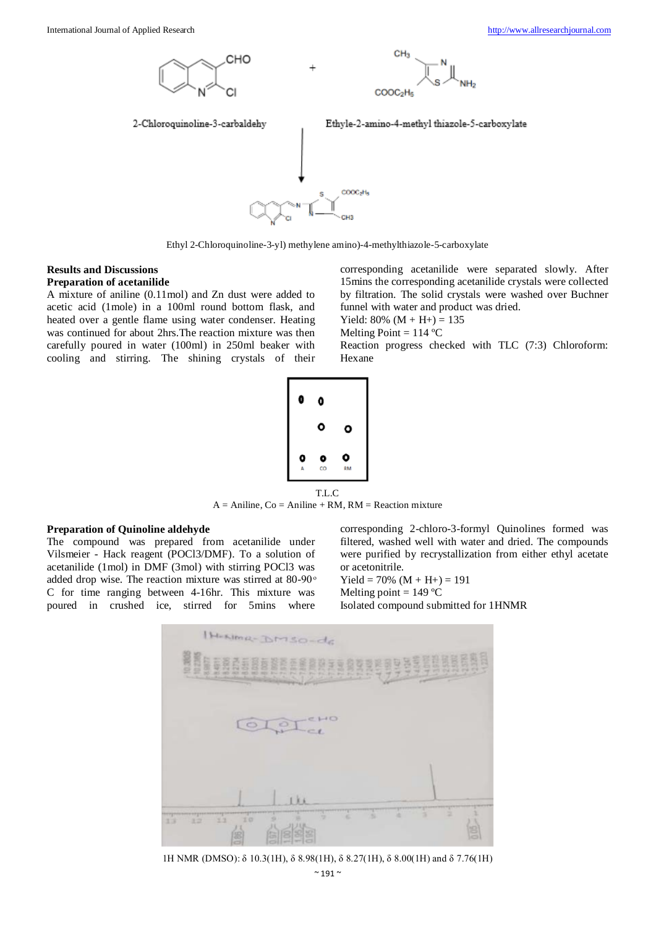

Ethyl 2-Chloroquinoline-3-yl) methylene amino)-4-methylthiazole-5-carboxylate

#### **Results and Discussions Preparation of acetanilide**

A mixture of aniline (0.11mol) and Zn dust were added to acetic acid (1mole) in a 100ml round bottom flask, and heated over a gentle flame using water condenser. Heating was continued for about 2hrs.The reaction mixture was then carefully poured in water (100ml) in 250ml beaker with cooling and stirring. The shining crystals of their corresponding acetanilide were separated slowly. After 15mins the corresponding acetanilide crystals were collected by filtration. The solid crystals were washed over Buchner funnel with water and product was dried.

Yield:  $80\%$  (M + H+) = 135 Melting Point =  $114 °C$ 

Reaction progress checked with TLC (7:3) Chloroform: Hexane



T.L.C  $A =$  Aniline,  $Co =$  Aniline + RM, RM = Reaction mixture

#### **Preparation of Quinoline aldehyde**

The compound was prepared from acetanilide under Vilsmeier - Hack reagent (POCl3/DMF). To a solution of acetanilide (1mol) in DMF (3mol) with stirring POCl3 was added drop wise. The reaction mixture was stirred at 80-90 $^{\circ}$ C for time ranging between 4-16hr. This mixture was poured in crushed ice, stirred for 5mins where corresponding 2-chloro-3-formyl Quinolines formed was filtered, washed well with water and dried. The compounds were purified by recrystallization from either ethyl acetate or acetonitrile.

Yield =  $70\%$  (M + H+) = 191

Melting point  $= 149$  °C

Isolated compound submitted for 1HNMR



1H NMR (DMSO): δ 10.3(1H), δ 8.98(1H), δ 8.27(1H), δ 8.00(1H) and δ 7.76(1H)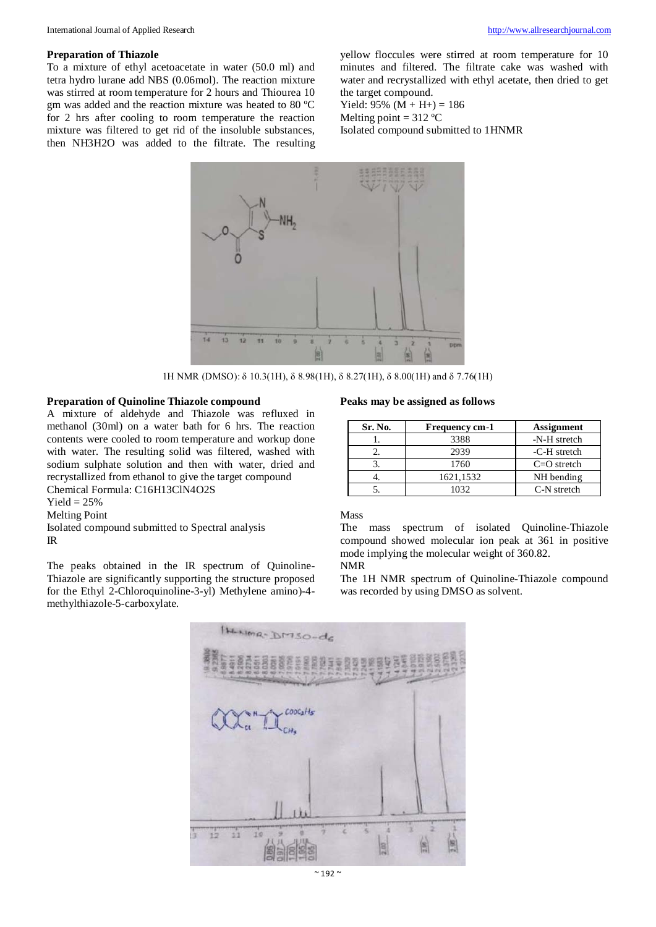#### **Preparation of Thiazole**

To a mixture of ethyl acetoacetate in water (50.0 ml) and tetra hydro lurane add NBS (0.06mol). The reaction mixture was stirred at room temperature for 2 hours and Thiourea 10 gm was added and the reaction mixture was heated to 80 ºC for 2 hrs after cooling to room temperature the reaction mixture was filtered to get rid of the insoluble substances, then NH3H2O was added to the filtrate. The resulting

yellow floccules were stirred at room temperature for 10 minutes and filtered. The filtrate cake was washed with water and recrystallized with ethyl acetate, then dried to get the target compound.

Yield:  $95\%$  (M + H+) = 186 Melting point  $= 312 °C$ 

Isolated compound submitted to 1HNMR



1H NMR (DMSO): δ 10.3(1H), δ 8.98(1H), δ 8.27(1H), δ 8.00(1H) and δ 7.76(1H)

#### **Preparation of Quinoline Thiazole compound**

A mixture of aldehyde and Thiazole was refluxed in methanol (30ml) on a water bath for 6 hrs. The reaction contents were cooled to room temperature and workup done with water. The resulting solid was filtered, washed with sodium sulphate solution and then with water, dried and recrystallized from ethanol to give the target compound Chemical Formula: C16H13ClN4O2S

 $Yield = 25%$ Melting Point Isolated compound submitted to Spectral analysis IR

The peaks obtained in the IR spectrum of Quinoline-Thiazole are significantly supporting the structure proposed for the Ethyl 2-Chloroquinoline-3-yl) Methylene amino)-4 methylthiazole-5-carboxylate.

#### **Peaks may be assigned as follows**

| Sr. No. | Frequency cm-1 | <b>Assignment</b> |
|---------|----------------|-------------------|
|         | 3388           | -N-H stretch      |
|         | 2939           | -C-H stretch      |
|         | 1760           | $C=O$ stretch     |
|         | 1621,1532      | NH bending        |
|         | 1032.          | C-N stretch       |

Mass

The mass spectrum of isolated Quinoline-Thiazole compound showed molecular ion peak at 361 in positive mode implying the molecular weight of 360.82. NMR

The 1H NMR spectrum of Quinoline-Thiazole compound was recorded by using DMSO as solvent.